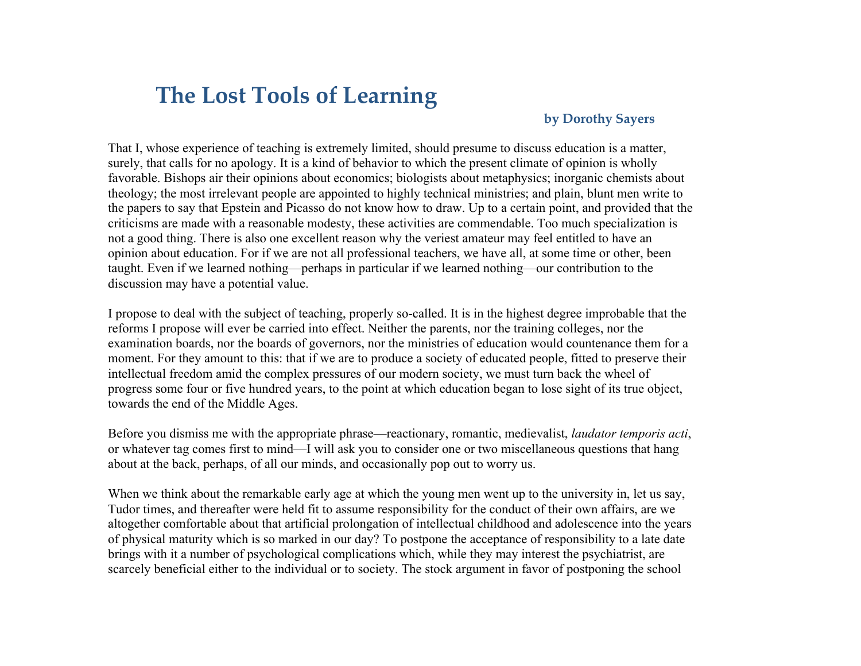## **The Lost Tools of Learning**

## **by Dorothy Sayers**

That I, whose experience of teaching is extremely limited, should presume to discuss education is a matter, surely, that calls for no apology. It is a kind of behavior to which the present climate of opinion is wholly favorable. Bishops air their opinions about economics; biologists about metaphysics; inorganic chemists about theology; the most irrelevant people are appointed to highly technical ministries; and plain, blunt men write to the papers to say that Epstein and Picasso do not know how to draw. Up to a certain point, and provided that the criticisms are made with a reasonable modesty, these activities are commendable. Too much specialization is not a good thing. There is also one excellent reason why the veriest amateur may feel entitled to have an opinion about education. For if we are not all professional teachers, we have all, at some time or other, been taught. Even if we learned nothing—perhaps in particular if we learned nothing—our contribution to the discussion may have a potential value.

I propose to deal with the subject of teaching, properly so-called. It is in the highest degree improbable that the reforms I propose will ever be carried into effect. Neither the parents, nor the training colleges, nor the examination boards, nor the boards of governors, nor the ministries of education would countenance them for a moment. For they amount to this: that if we are to produce a society of educated people, fitted to preserve their intellectual freedom amid the complex pressures of our modern society, we must turn back the wheel of progress some four or five hundred years, to the point at which education began to lose sight of its true object, towards the end of the Middle Ages.

Before you dismiss me with the appropriate phrase—reactionary, romantic, medievalist, *laudator temporis acti*, or whatever tag comes first to mind—I will ask you to consider one or two miscellaneous questions that hang about at the back, perhaps, of all our minds, and occasionally pop out to worry us.

When we think about the remarkable early age at which the young men went up to the university in, let us say, Tudor times, and thereafter were held fit to assume responsibility for the conduct of their own affairs, are we altogether comfortable about that artificial prolongation of intellectual childhood and adolescence into the years of physical maturity which is so marked in our day? To postpone the acceptance of responsibility to a late date brings with it a number of psychological complications which, while they may interest the psychiatrist, are scarcely beneficial either to the individual or to society. The stock argument in favor of postponing the school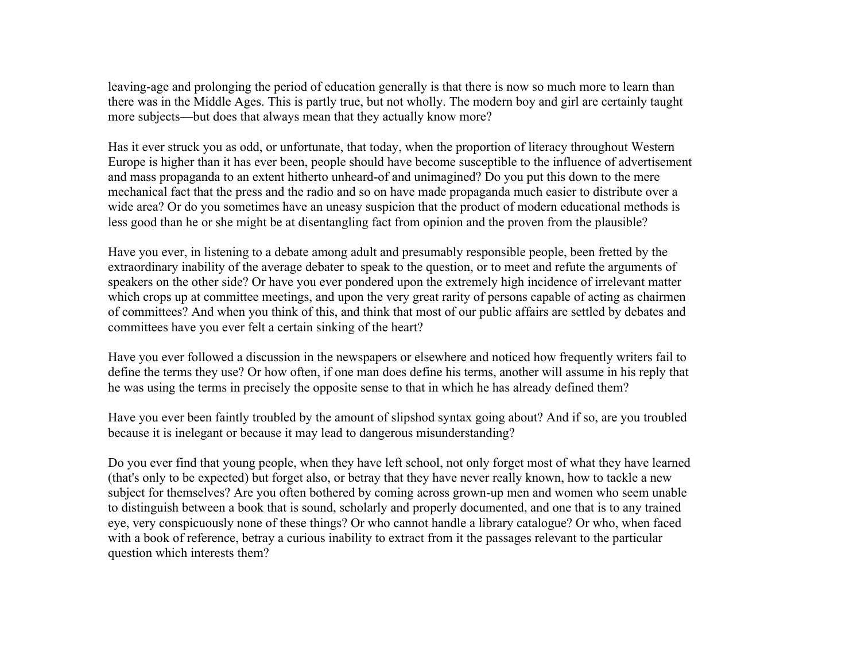leaving-age and prolonging the period of education generally is that there is now so much more to learn than there was in the Middle Ages. This is partly true, but not wholly. The modern boy and girl are certainly taught more subjects—but does that always mean that they actually know more?

Has it ever struck you as odd, or unfortunate, that today, when the proportion of literacy throughout Western Europe is higher than it has ever been, people should have become susceptible to the influence of advertisement and mass propaganda to an extent hitherto unheard-of and unimagined? Do you put this down to the mere mechanical fact that the press and the radio and so on have made propaganda much easier to distribute over a wide area? Or do you sometimes have an uneasy suspicion that the product of modern educational methods is less good than he or she might be at disentangling fact from opinion and the proven from the plausible?

Have you ever, in listening to a debate among adult and presumably responsible people, been fretted by the extraordinary inability of the average debater to speak to the question, or to meet and refute the arguments of speakers on the other side? Or have you ever pondered upon the extremely high incidence of irrelevant matter which crops up at committee meetings, and upon the very great rarity of persons capable of acting as chairmen of committees? And when you think of this, and think that most of our public affairs are settled by debates and committees have you ever felt a certain sinking of the heart?

Have you ever followed a discussion in the newspapers or elsewhere and noticed how frequently writers fail to define the terms they use? Or how often, if one man does define his terms, another will assume in his reply that he was using the terms in precisely the opposite sense to that in which he has already defined them?

Have you ever been faintly troubled by the amount of slipshod syntax going about? And if so, are you troubled because it is inelegant or because it may lead to dangerous misunderstanding?

Do you ever find that young people, when they have left school, not only forget most of what they have learned (that's only to be expected) but forget also, or betray that they have never really known, how to tackle a new subject for themselves? Are you often bothered by coming across grown-up men and women who seem unable to distinguish between a book that is sound, scholarly and properly documented, and one that is to any trained eye, very conspicuously none of these things? Or who cannot handle a library catalogue? Or who, when faced with a book of reference, betray a curious inability to extract from it the passages relevant to the particular question which interests them?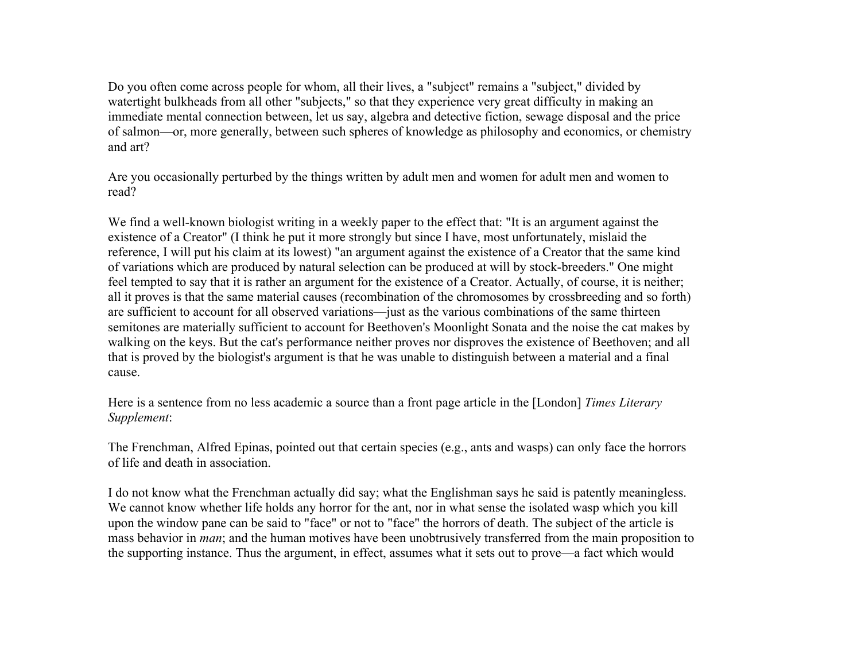Do you often come across people for whom, all their lives, a "subject" remains a "subject," divided by watertight bulkheads from all other "subjects," so that they experience very great difficulty in making an immediate mental connection between, let us say, algebra and detective fiction, sewage disposal and the price of salmon—or, more generally, between such spheres of knowledge as philosophy and economics, or chemistry and art?

Are you occasionally perturbed by the things written by adult men and women for adult men and women to read?

We find a well-known biologist writing in a weekly paper to the effect that: "It is an argument against the existence of a Creator" (I think he put it more strongly but since I have, most unfortunately, mislaid the reference, I will put his claim at its lowest) "an argument against the existence of a Creator that the same kind of variations which are produced by natural selection can be produced at will by stock-breeders." One might feel tempted to say that it is rather an argument for the existence of a Creator. Actually, of course, it is neither; all it proves is that the same material causes (recombination of the chromosomes by crossbreeding and so forth) are sufficient to account for all observed variations—just as the various combinations of the same thirteen semitones are materially sufficient to account for Beethoven's Moonlight Sonata and the noise the cat makes by walking on the keys. But the cat's performance neither proves nor disproves the existence of Beethoven; and all that is proved by the biologist's argument is that he was unable to distinguish between a material and a final cause.

Here is a sentence from no less academic a source than a front page article in the [London] *Times Literary Supplement*:

The Frenchman, Alfred Epinas, pointed out that certain species (e.g., ants and wasps) can only face the horrors of life and death in association.

I do not know what the Frenchman actually did say; what the Englishman says he said is patently meaningless. We cannot know whether life holds any horror for the ant, nor in what sense the isolated wasp which you kill upon the window pane can be said to "face" or not to "face" the horrors of death. The subject of the article is mass behavior in *man*; and the human motives have been unobtrusively transferred from the main proposition to the supporting instance. Thus the argument, in effect, assumes what it sets out to prove—a fact which would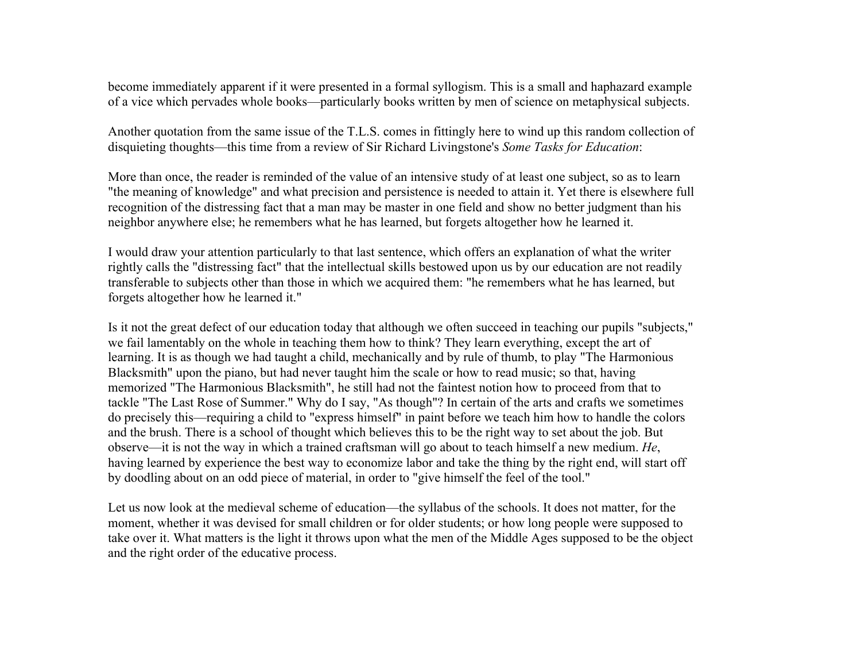become immediately apparent if it were presented in a formal syllogism. This is a small and haphazard example of a vice which pervades whole books—particularly books written by men of science on metaphysical subjects.

Another quotation from the same issue of the T.L.S. comes in fittingly here to wind up this random collection of disquieting thoughts—this time from a review of Sir Richard Livingstone's *Some Tasks for Education*:

More than once, the reader is reminded of the value of an intensive study of at least one subject, so as to learn "the meaning of knowledge" and what precision and persistence is needed to attain it. Yet there is elsewhere full recognition of the distressing fact that a man may be master in one field and show no better judgment than his neighbor anywhere else; he remembers what he has learned, but forgets altogether how he learned it.

I would draw your attention particularly to that last sentence, which offers an explanation of what the writer rightly calls the "distressing fact" that the intellectual skills bestowed upon us by our education are not readily transferable to subjects other than those in which we acquired them: "he remembers what he has learned, but forgets altogether how he learned it."

Is it not the great defect of our education today that although we often succeed in teaching our pupils "subjects," we fail lamentably on the whole in teaching them how to think? They learn everything, except the art of learning. It is as though we had taught a child, mechanically and by rule of thumb, to play "The Harmonious Blacksmith" upon the piano, but had never taught him the scale or how to read music; so that, having memorized "The Harmonious Blacksmith", he still had not the faintest notion how to proceed from that to tackle "The Last Rose of Summer." Why do I say, "As though"? In certain of the arts and crafts we sometimes do precisely this—requiring a child to "express himself" in paint before we teach him how to handle the colors and the brush. There is a school of thought which believes this to be the right way to set about the job. But observe—it is not the way in which a trained craftsman will go about to teach himself a new medium. *He*, having learned by experience the best way to economize labor and take the thing by the right end, will start off by doodling about on an odd piece of material, in order to "give himself the feel of the tool."

Let us now look at the medieval scheme of education—the syllabus of the schools. It does not matter, for the moment, whether it was devised for small children or for older students; or how long people were supposed to take over it. What matters is the light it throws upon what the men of the Middle Ages supposed to be the object and the right order of the educative process.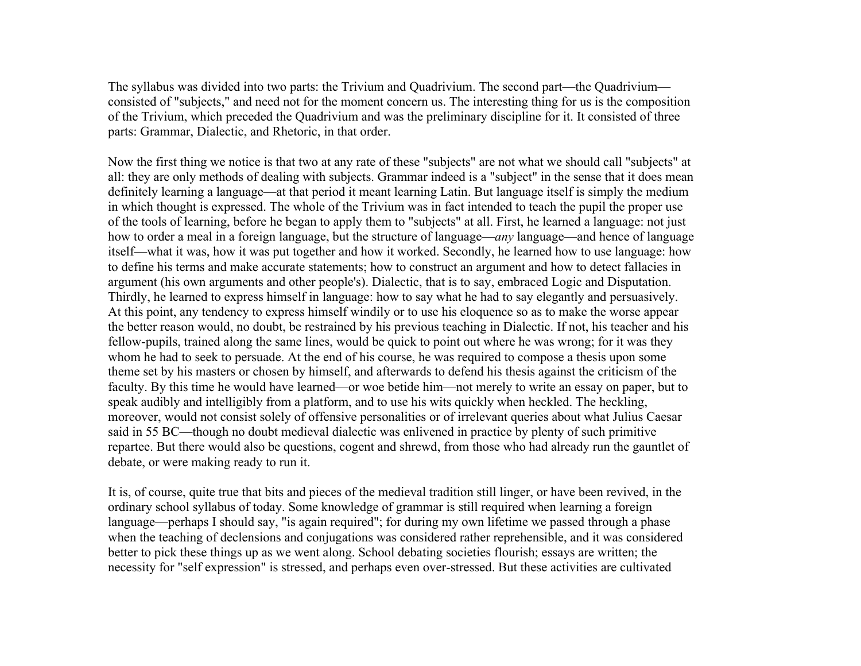The syllabus was divided into two parts: the Trivium and Quadrivium. The second part—the Quadrivium consisted of "subjects," and need not for the moment concern us. The interesting thing for us is the composition of the Trivium, which preceded the Quadrivium and was the preliminary discipline for it. It consisted of three parts: Grammar, Dialectic, and Rhetoric, in that order.

Now the first thing we notice is that two at any rate of these "subjects" are not what we should call "subjects" at all: they are only methods of dealing with subjects. Grammar indeed is a "subject" in the sense that it does mean definitely learning a language—at that period it meant learning Latin. But language itself is simply the medium in which thought is expressed. The whole of the Trivium was in fact intended to teach the pupil the proper use of the tools of learning, before he began to apply them to "subjects" at all. First, he learned a language: not just how to order a meal in a foreign language, but the structure of language—*any* language—and hence of language itself—what it was, how it was put together and how it worked. Secondly, he learned how to use language: how to define his terms and make accurate statements; how to construct an argument and how to detect fallacies in argument (his own arguments and other people's). Dialectic, that is to say, embraced Logic and Disputation. Thirdly, he learned to express himself in language: how to say what he had to say elegantly and persuasively. At this point, any tendency to express himself windily or to use his eloquence so as to make the worse appear the better reason would, no doubt, be restrained by his previous teaching in Dialectic. If not, his teacher and his fellow-pupils, trained along the same lines, would be quick to point out where he was wrong; for it was they whom he had to seek to persuade. At the end of his course, he was required to compose a thesis upon some theme set by his masters or chosen by himself, and afterwards to defend his thesis against the criticism of the faculty. By this time he would have learned—or woe betide him—not merely to write an essay on paper, but to speak audibly and intelligibly from a platform, and to use his wits quickly when heckled. The heckling, moreover, would not consist solely of offensive personalities or of irrelevant queries about what Julius Caesar said in 55 BC—though no doubt medieval dialectic was enlivened in practice by plenty of such primitive repartee. But there would also be questions, cogent and shrewd, from those who had already run the gauntlet of debate, or were making ready to run it.

It is, of course, quite true that bits and pieces of the medieval tradition still linger, or have been revived, in the ordinary school syllabus of today. Some knowledge of grammar is still required when learning a foreign language—perhaps I should say, "is again required"; for during my own lifetime we passed through a phase when the teaching of declensions and conjugations was considered rather reprehensible, and it was considered better to pick these things up as we went along. School debating societies flourish; essays are written; the necessity for "self expression" is stressed, and perhaps even over-stressed. But these activities are cultivated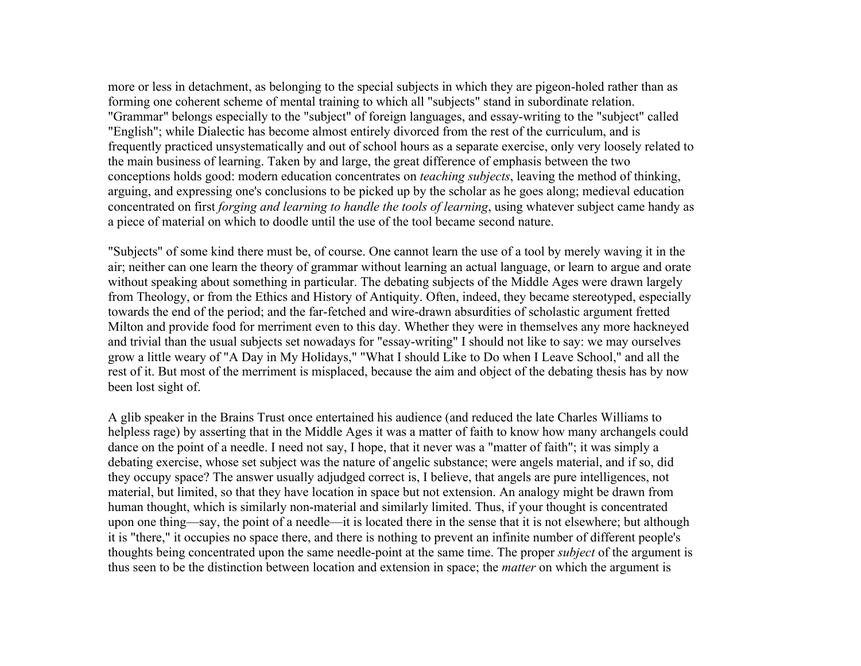more or less in detachment, as belonging to the special subjects in which they are pigeon-holed rather than as forming one coherent scheme of mental training to which all "subjects" stand in subordinate relation. "Grammar" belongs especially to the "subject" of foreign languages, and essay-writing to the "subject" called "English"; while Dialectic has become almost entirely divorced from the rest of the curriculum, and is frequently practiced unsystematically and out of school hours as a separate exercise, only very loosely related to the main business of learning. Taken by and large, the great difference of emphasis between the two conceptions holds good: modern education concentrates on *teaching subjects*, leaving the method of thinking, arguing, and expressing one's conclusions to be picked up by the scholar as he goes along; medieval education concentrated on first *forging and learning to handle the tools of learning*, using whatever subject came handy as a piece of material on which to doodle until the use of the tool became second nature.

"Subjects" of some kind there must be, of course. One cannot learn the use of a tool by merely waving it in the air; neither can one learn the theory of grammar without learning an actual language, or learn to argue and orate without speaking about something in particular. The debating subjects of the Middle Ages were drawn largely from Theology, or from the Ethics and History of Antiquity. Often, indeed, they became stereotyped, especially towards the end of the period; and the far-fetched and wire-drawn absurdities of scholastic argument fretted Milton and provide food for merriment even to this day. Whether they were in themselves any more hackneyed and trivial than the usual subjects set nowadays for "essay-writing" I should not like to say: we may ourselves grow a little weary of "A Day in My Holidays," "What I should Like to Do when I Leave School," and all the rest of it. But most of the merriment is misplaced, because the aim and object of the debating thesis has by now been lost sight of.

A glib speaker in the Brains Trust once entertained his audience (and reduced the late Charles Williams to helpless rage) by asserting that in the Middle Ages it was a matter of faith to know how many archangels could dance on the point of a needle. I need not say, I hope, that it never was a "matter of faith"; it was simply a debating exercise, whose set subject was the nature of angelic substance; were angels material, and if so, did they occupy space? The answer usually adjudged correct is, I believe, that angels are pure intelligences, not material, but limited, so that they have location in space but not extension. An analogy might be drawn from human thought, which is similarly non-material and similarly limited. Thus, if your thought is concentrated upon one thing—say, the point of a needle—it is located there in the sense that it is not elsewhere; but although it is "there," it occupies no space there, and there is nothing to prevent an infinite number of different people's thoughts being concentrated upon the same needle-point at the same time. The proper *subject* of the argument is thus seen to be the distinction between location and extension in space; the *matter* on which the argument is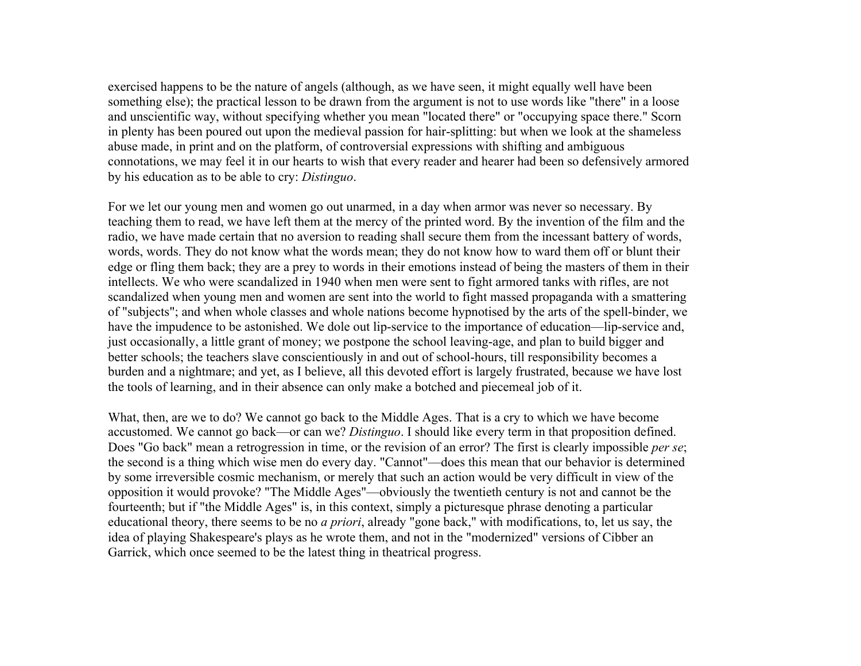exercised happens to be the nature of angels (although, as we have seen, it might equally well have been something else); the practical lesson to be drawn from the argument is not to use words like "there" in a loose and unscientific way, without specifying whether you mean "located there" or "occupying space there." Scorn in plenty has been poured out upon the medieval passion for hair-splitting: but when we look at the shameless abuse made, in print and on the platform, of controversial expressions with shifting and ambiguous connotations, we may feel it in our hearts to wish that every reader and hearer had been so defensively armored by his education as to be able to cry: *Distinguo*.

For we let our young men and women go out unarmed, in a day when armor was never so necessary. By teaching them to read, we have left them at the mercy of the printed word. By the invention of the film and the radio, we have made certain that no aversion to reading shall secure them from the incessant battery of words, words, words. They do not know what the words mean; they do not know how to ward them off or blunt their edge or fling them back; they are a prey to words in their emotions instead of being the masters of them in their intellects. We who were scandalized in 1940 when men were sent to fight armored tanks with rifles, are not scandalized when young men and women are sent into the world to fight massed propaganda with a smattering of "subjects"; and when whole classes and whole nations become hypnotised by the arts of the spell-binder, we have the impudence to be astonished. We dole out lip-service to the importance of education—lip-service and, just occasionally, a little grant of money; we postpone the school leaving-age, and plan to build bigger and better schools; the teachers slave conscientiously in and out of school-hours, till responsibility becomes a burden and a nightmare; and yet, as I believe, all this devoted effort is largely frustrated, because we have lost the tools of learning, and in their absence can only make a botched and piecemeal job of it.

What, then, are we to do? We cannot go back to the Middle Ages. That is a cry to which we have become accustomed. We cannot go back—or can we? *Distinguo*. I should like every term in that proposition defined. Does "Go back" mean a retrogression in time, or the revision of an error? The first is clearly impossible *per se*; the second is a thing which wise men do every day. "Cannot"—does this mean that our behavior is determined by some irreversible cosmic mechanism, or merely that such an action would be very difficult in view of the opposition it would provoke? "The Middle Ages"—obviously the twentieth century is not and cannot be the fourteenth; but if "the Middle Ages" is, in this context, simply a picturesque phrase denoting a particular educational theory, there seems to be no *a priori*, already "gone back," with modifications, to, let us say, the idea of playing Shakespeare's plays as he wrote them, and not in the "modernized" versions of Cibber an Garrick, which once seemed to be the latest thing in theatrical progress.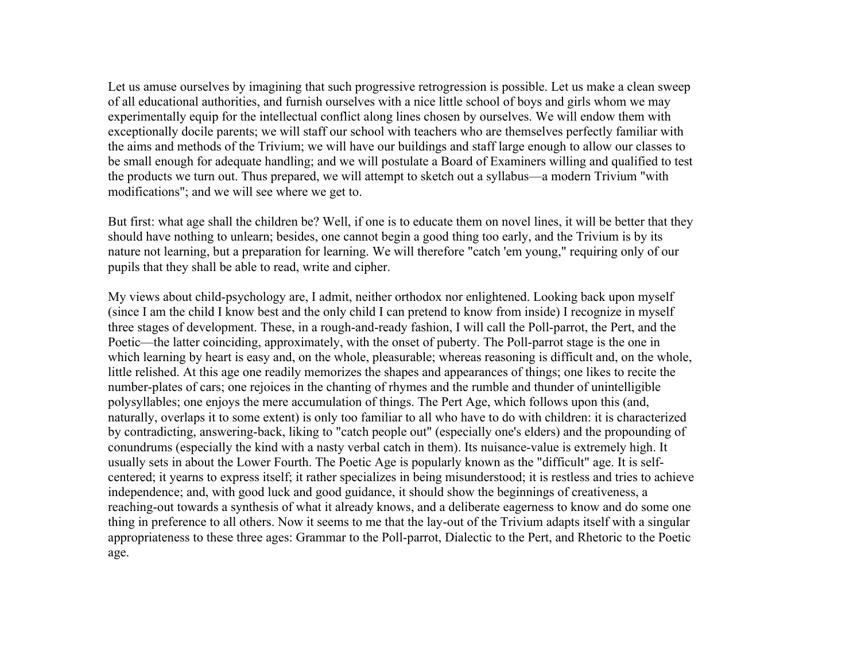Let us amuse ourselves by imagining that such progressive retrogression is possible. Let us make a clean sweep of all educational authorities, and furnish ourselves with a nice little school of boys and girls whom we may experimentally equip for the intellectual conflict along lines chosen by ourselves. We will endow them with exceptionally docile parents; we will staff our school with teachers who are themselves perfectly familiar with the aims and methods of the Trivium; we will have our buildings and staff large enough to allow our classes to be small enough for adequate handling; and we will postulate a Board of Examiners willing and qualified to test the products we turn out. Thus prepared, we will attempt to sketch out a syllabus—a modern Trivium "with modifications"; and we will see where we get to.

But first: what age shall the children be? Well, if one is to educate them on novel lines, it will be better that they should have nothing to unlearn; besides, one cannot begin a good thing too early, and the Trivium is by its nature not learning, but a preparation for learning. We will therefore "catch 'em young," requiring only of our pupils that they shall be able to read, write and cipher.

My views about child-psychology are, I admit, neither orthodox nor enlightened. Looking back upon myself (since I am the child I know best and the only child I can pretend to know from inside) I recognize in myself three stages of development. These, in a rough-and-ready fashion, I will call the Poll-parrot, the Pert, and the Poetic—the latter coinciding, approximately, with the onset of puberty. The Poll-parrot stage is the one in which learning by heart is easy and, on the whole, pleasurable; whereas reasoning is difficult and, on the whole, little relished. At this age one readily memorizes the shapes and appearances of things; one likes to recite the number-plates of cars; one rejoices in the chanting of rhymes and the rumble and thunder of unintelligible polysyllables; one enjoys the mere accumulation of things. The Pert Age, which follows upon this (and, naturally, overlaps it to some extent) is only too familiar to all who have to do with children: it is characterized by contradicting, answering-back, liking to "catch people out" (especially one's elders) and the propounding of conundrums (especially the kind with a nasty verbal catch in them). Its nuisance-value is extremely high. It usually sets in about the Lower Fourth. The Poetic Age is popularly known as the "difficult" age. It is selfcentered; it yearns to express itself; it rather specializes in being misunderstood; it is restless and tries to achieve independence; and, with good luck and good guidance, it should show the beginnings of creativeness, a reaching-out towards a synthesis of what it already knows, and a deliberate eagerness to know and do some one thing in preference to all others. Now it seems to me that the lay-out of the Trivium adapts itself with a singular appropriateness to these three ages: Grammar to the Poll-parrot, Dialectic to the Pert, and Rhetoric to the Poetic age.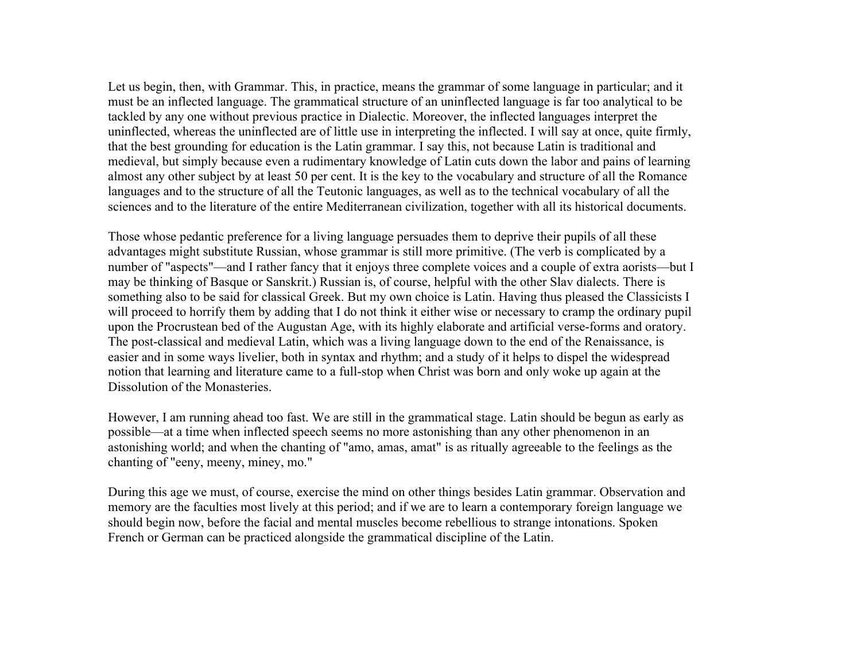Let us begin, then, with Grammar. This, in practice, means the grammar of some language in particular; and it must be an inflected language. The grammatical structure of an uninflected language is far too analytical to be tackled by any one without previous practice in Dialectic. Moreover, the inflected languages interpret the uninflected, whereas the uninflected are of little use in interpreting the inflected. I will say at once, quite firmly, that the best grounding for education is the Latin grammar. I say this, not because Latin is traditional and medieval, but simply because even a rudimentary knowledge of Latin cuts down the labor and pains of learning almost any other subject by at least 50 per cent. It is the key to the vocabulary and structure of all the Romance languages and to the structure of all the Teutonic languages, as well as to the technical vocabulary of all the sciences and to the literature of the entire Mediterranean civilization, together with all its historical documents.

Those whose pedantic preference for a living language persuades them to deprive their pupils of all these advantages might substitute Russian, whose grammar is still more primitive. (The verb is complicated by a number of "aspects"—and I rather fancy that it enjoys three complete voices and a couple of extra aorists—but I may be thinking of Basque or Sanskrit.) Russian is, of course, helpful with the other Slav dialects. There is something also to be said for classical Greek. But my own choice is Latin. Having thus pleased the Classicists I will proceed to horrify them by adding that I do not think it either wise or necessary to cramp the ordinary pupil upon the Procrustean bed of the Augustan Age, with its highly elaborate and artificial verse-forms and oratory. The post-classical and medieval Latin, which was a living language down to the end of the Renaissance, is easier and in some ways livelier, both in syntax and rhythm; and a study of it helps to dispel the widespread notion that learning and literature came to a full-stop when Christ was born and only woke up again at the Dissolution of the Monasteries.

However, I am running ahead too fast. We are still in the grammatical stage. Latin should be begun as early as possible—at a time when inflected speech seems no more astonishing than any other phenomenon in an astonishing world; and when the chanting of "amo, amas, amat" is as ritually agreeable to the feelings as the chanting of "eeny, meeny, miney, mo."

During this age we must, of course, exercise the mind on other things besides Latin grammar. Observation and memory are the faculties most lively at this period; and if we are to learn a contemporary foreign language we should begin now, before the facial and mental muscles become rebellious to strange intonations. Spoken French or German can be practiced alongside the grammatical discipline of the Latin.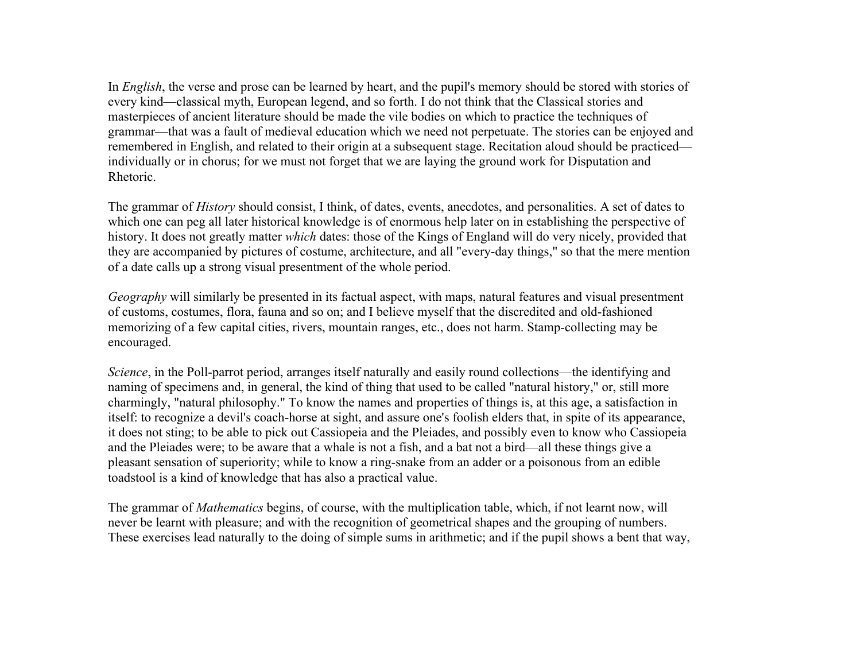In *English*, the verse and prose can be learned by heart, and the pupil's memory should be stored with stories of every kind—classical myth, European legend, and so forth. I do not think that the Classical stories and masterpieces of ancient literature should be made the vile bodies on which to practice the techniques of grammar—that was a fault of medieval education which we need not perpetuate. The stories can be enjoyed and remembered in English, and related to their origin at a subsequent stage. Recitation aloud should be practiced individually or in chorus; for we must not forget that we are laying the ground work for Disputation and Rhetoric.

The grammar of *History* should consist, I think, of dates, events, anecdotes, and personalities. A set of dates to which one can peg all later historical knowledge is of enormous help later on in establishing the perspective of history. It does not greatly matter *which* dates: those of the Kings of England will do very nicely, provided that they are accompanied by pictures of costume, architecture, and all "every-day things," so that the mere mention of a date calls up a strong visual presentment of the whole period.

*Geography* will similarly be presented in its factual aspect, with maps, natural features and visual presentment of customs, costumes, flora, fauna and so on; and I believe myself that the discredited and old-fashioned memorizing of a few capital cities, rivers, mountain ranges, etc., does not harm. Stamp-collecting may be encouraged.

*Science*, in the Poll-parrot period, arranges itself naturally and easily round collections—the identifying and naming of specimens and, in general, the kind of thing that used to be called "natural history," or, still more charmingly, "natural philosophy." To know the names and properties of things is, at this age, a satisfaction in itself: to recognize a devil's coach-horse at sight, and assure one's foolish elders that, in spite of its appearance, it does not sting; to be able to pick out Cassiopeia and the Pleiades, and possibly even to know who Cassiopeia and the Pleiades were; to be aware that a whale is not a fish, and a bat not a bird—all these things give a pleasant sensation of superiority; while to know a ring-snake from an adder or a poisonous from an edible toadstool is a kind of knowledge that has also a practical value.

The grammar of *Mathematics* begins, of course, with the multiplication table, which, if not learnt now, will never be learnt with pleasure; and with the recognition of geometrical shapes and the grouping of numbers. These exercises lead naturally to the doing of simple sums in arithmetic; and if the pupil shows a bent that way,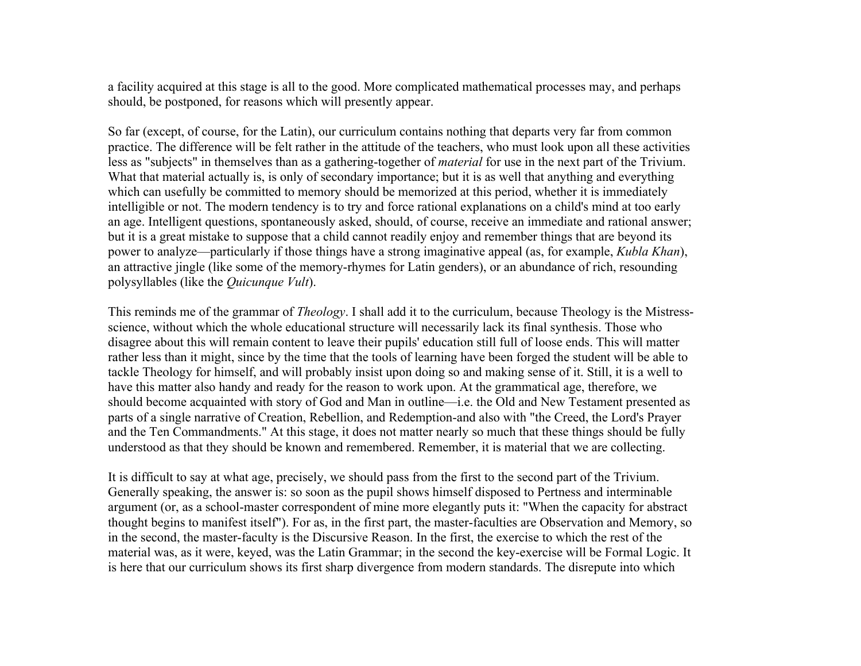a facility acquired at this stage is all to the good. More complicated mathematical processes may, and perhaps should, be postponed, for reasons which will presently appear.

So far (except, of course, for the Latin), our curriculum contains nothing that departs very far from common practice. The difference will be felt rather in the attitude of the teachers, who must look upon all these activities less as "subjects" in themselves than as a gathering-together of *material* for use in the next part of the Trivium. What that material actually is, is only of secondary importance; but it is as well that anything and everything which can usefully be committed to memory should be memorized at this period, whether it is immediately intelligible or not. The modern tendency is to try and force rational explanations on a child's mind at too early an age. Intelligent questions, spontaneously asked, should, of course, receive an immediate and rational answer; but it is a great mistake to suppose that a child cannot readily enjoy and remember things that are beyond its power to analyze—particularly if those things have a strong imaginative appeal (as, for example, *Kubla Khan*), an attractive jingle (like some of the memory-rhymes for Latin genders), or an abundance of rich, resounding polysyllables (like the *Quicunque Vult*).

This reminds me of the grammar of *Theology*. I shall add it to the curriculum, because Theology is the Mistressscience, without which the whole educational structure will necessarily lack its final synthesis. Those who disagree about this will remain content to leave their pupils' education still full of loose ends. This will matter rather less than it might, since by the time that the tools of learning have been forged the student will be able to tackle Theology for himself, and will probably insist upon doing so and making sense of it. Still, it is a well to have this matter also handy and ready for the reason to work upon. At the grammatical age, therefore, we should become acquainted with story of God and Man in outline—i.e. the Old and New Testament presented as parts of a single narrative of Creation, Rebellion, and Redemption-and also with "the Creed, the Lord's Prayer and the Ten Commandments." At this stage, it does not matter nearly so much that these things should be fully understood as that they should be known and remembered. Remember, it is material that we are collecting.

It is difficult to say at what age, precisely, we should pass from the first to the second part of the Trivium. Generally speaking, the answer is: so soon as the pupil shows himself disposed to Pertness and interminable argument (or, as a school-master correspondent of mine more elegantly puts it: "When the capacity for abstract thought begins to manifest itself"). For as, in the first part, the master-faculties are Observation and Memory, so in the second, the master-faculty is the Discursive Reason. In the first, the exercise to which the rest of the material was, as it were, keyed, was the Latin Grammar; in the second the key-exercise will be Formal Logic. It is here that our curriculum shows its first sharp divergence from modern standards. The disrepute into which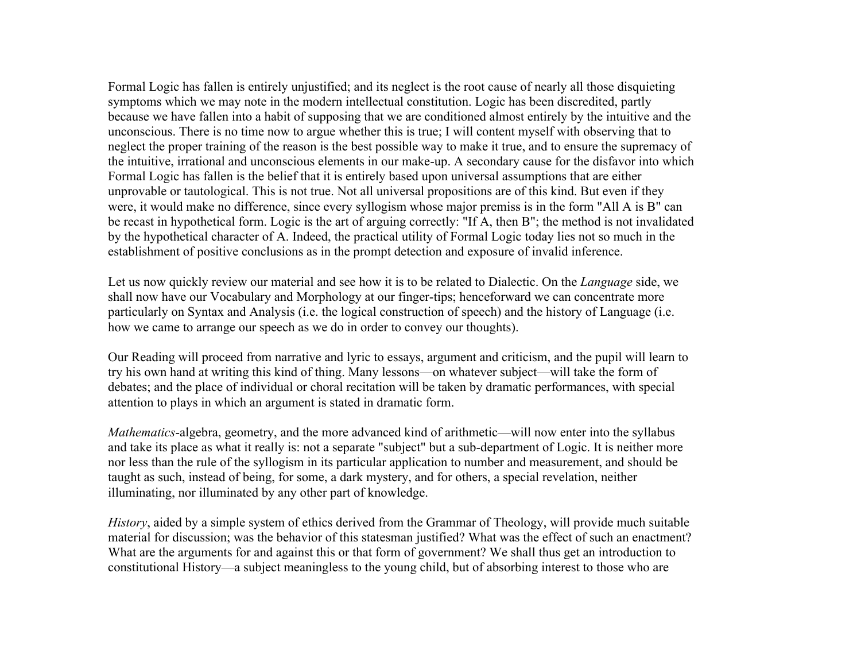Formal Logic has fallen is entirely unjustified; and its neglect is the root cause of nearly all those disquieting symptoms which we may note in the modern intellectual constitution. Logic has been discredited, partly because we have fallen into a habit of supposing that we are conditioned almost entirely by the intuitive and the unconscious. There is no time now to argue whether this is true; I will content myself with observing that to neglect the proper training of the reason is the best possible way to make it true, and to ensure the supremacy of the intuitive, irrational and unconscious elements in our make-up. A secondary cause for the disfavor into which Formal Logic has fallen is the belief that it is entirely based upon universal assumptions that are either unprovable or tautological. This is not true. Not all universal propositions are of this kind. But even if they were, it would make no difference, since every syllogism whose major premiss is in the form "All A is B" can be recast in hypothetical form. Logic is the art of arguing correctly: "If A, then B"; the method is not invalidated by the hypothetical character of A. Indeed, the practical utility of Formal Logic today lies not so much in the establishment of positive conclusions as in the prompt detection and exposure of invalid inference.

Let us now quickly review our material and see how it is to be related to Dialectic. On the *Language* side, we shall now have our Vocabulary and Morphology at our finger-tips; henceforward we can concentrate more particularly on Syntax and Analysis (i.e. the logical construction of speech) and the history of Language (i.e. how we came to arrange our speech as we do in order to convey our thoughts).

Our Reading will proceed from narrative and lyric to essays, argument and criticism, and the pupil will learn to try his own hand at writing this kind of thing. Many lessons—on whatever subject—will take the form of debates; and the place of individual or choral recitation will be taken by dramatic performances, with special attention to plays in which an argument is stated in dramatic form.

*Mathematics*-algebra, geometry, and the more advanced kind of arithmetic—will now enter into the syllabus and take its place as what it really is: not a separate "subject" but a sub-department of Logic. It is neither more nor less than the rule of the syllogism in its particular application to number and measurement, and should be taught as such, instead of being, for some, a dark mystery, and for others, a special revelation, neither illuminating, nor illuminated by any other part of knowledge.

*History*, aided by a simple system of ethics derived from the Grammar of Theology, will provide much suitable material for discussion; was the behavior of this statesman justified? What was the effect of such an enactment? What are the arguments for and against this or that form of government? We shall thus get an introduction to constitutional History—a subject meaningless to the young child, but of absorbing interest to those who are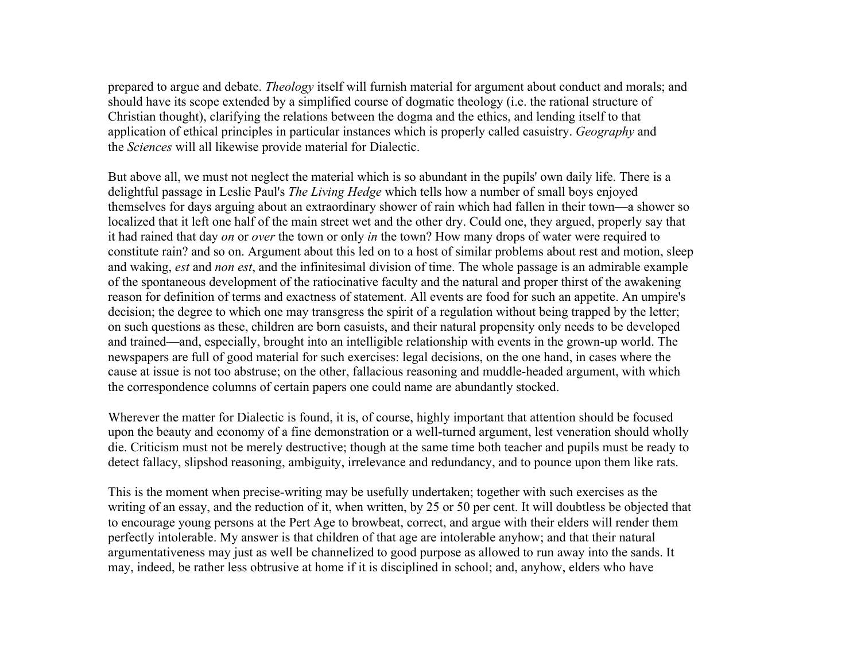prepared to argue and debate. *Theology* itself will furnish material for argument about conduct and morals; and should have its scope extended by a simplified course of dogmatic theology (i.e. the rational structure of Christian thought), clarifying the relations between the dogma and the ethics, and lending itself to that application of ethical principles in particular instances which is properly called casuistry. *Geography* and the *Sciences* will all likewise provide material for Dialectic.

But above all, we must not neglect the material which is so abundant in the pupils' own daily life. There is a delightful passage in Leslie Paul's *The Living Hedge* which tells how a number of small boys enjoyed themselves for days arguing about an extraordinary shower of rain which had fallen in their town—a shower so localized that it left one half of the main street wet and the other dry. Could one, they argued, properly say that it had rained that day *on* or *over* the town or only *in* the town? How many drops of water were required to constitute rain? and so on. Argument about this led on to a host of similar problems about rest and motion, sleep and waking, *est* and *non est*, and the infinitesimal division of time. The whole passage is an admirable example of the spontaneous development of the ratiocinative faculty and the natural and proper thirst of the awakening reason for definition of terms and exactness of statement. All events are food for such an appetite. An umpire's decision; the degree to which one may transgress the spirit of a regulation without being trapped by the letter; on such questions as these, children are born casuists, and their natural propensity only needs to be developed and trained—and, especially, brought into an intelligible relationship with events in the grown-up world. The newspapers are full of good material for such exercises: legal decisions, on the one hand, in cases where the cause at issue is not too abstruse; on the other, fallacious reasoning and muddle-headed argument, with which the correspondence columns of certain papers one could name are abundantly stocked.

Wherever the matter for Dialectic is found, it is, of course, highly important that attention should be focused upon the beauty and economy of a fine demonstration or a well-turned argument, lest veneration should wholly die. Criticism must not be merely destructive; though at the same time both teacher and pupils must be ready to detect fallacy, slipshod reasoning, ambiguity, irrelevance and redundancy, and to pounce upon them like rats.

This is the moment when precise-writing may be usefully undertaken; together with such exercises as the writing of an essay, and the reduction of it, when written, by 25 or 50 per cent. It will doubtless be objected that to encourage young persons at the Pert Age to browbeat, correct, and argue with their elders will render them perfectly intolerable. My answer is that children of that age are intolerable anyhow; and that their natural argumentativeness may just as well be channelized to good purpose as allowed to run away into the sands. It may, indeed, be rather less obtrusive at home if it is disciplined in school; and, anyhow, elders who have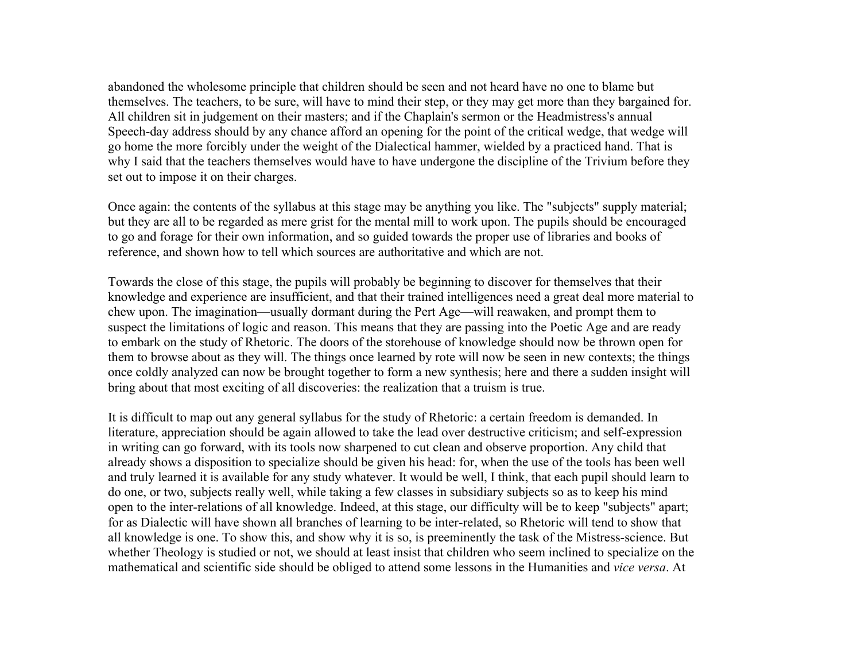abandoned the wholesome principle that children should be seen and not heard have no one to blame but themselves. The teachers, to be sure, will have to mind their step, or they may get more than they bargained for. All children sit in judgement on their masters; and if the Chaplain's sermon or the Headmistress's annual Speech-day address should by any chance afford an opening for the point of the critical wedge, that wedge will go home the more forcibly under the weight of the Dialectical hammer, wielded by a practiced hand. That is why I said that the teachers themselves would have to have undergone the discipline of the Trivium before they set out to impose it on their charges.

Once again: the contents of the syllabus at this stage may be anything you like. The "subjects" supply material; but they are all to be regarded as mere grist for the mental mill to work upon. The pupils should be encouraged to go and forage for their own information, and so guided towards the proper use of libraries and books of reference, and shown how to tell which sources are authoritative and which are not.

Towards the close of this stage, the pupils will probably be beginning to discover for themselves that their knowledge and experience are insufficient, and that their trained intelligences need a great deal more material to chew upon. The imagination—usually dormant during the Pert Age—will reawaken, and prompt them to suspect the limitations of logic and reason. This means that they are passing into the Poetic Age and are ready to embark on the study of Rhetoric. The doors of the storehouse of knowledge should now be thrown open for them to browse about as they will. The things once learned by rote will now be seen in new contexts; the things once coldly analyzed can now be brought together to form a new synthesis; here and there a sudden insight will bring about that most exciting of all discoveries: the realization that a truism is true.

It is difficult to map out any general syllabus for the study of Rhetoric: a certain freedom is demanded. In literature, appreciation should be again allowed to take the lead over destructive criticism; and self-expression in writing can go forward, with its tools now sharpened to cut clean and observe proportion. Any child that already shows a disposition to specialize should be given his head: for, when the use of the tools has been well and truly learned it is available for any study whatever. It would be well, I think, that each pupil should learn to do one, or two, subjects really well, while taking a few classes in subsidiary subjects so as to keep his mind open to the inter-relations of all knowledge. Indeed, at this stage, our difficulty will be to keep "subjects" apart; for as Dialectic will have shown all branches of learning to be inter-related, so Rhetoric will tend to show that all knowledge is one. To show this, and show why it is so, is preeminently the task of the Mistress-science. But whether Theology is studied or not, we should at least insist that children who seem inclined to specialize on the mathematical and scientific side should be obliged to attend some lessons in the Humanities and *vice versa*. At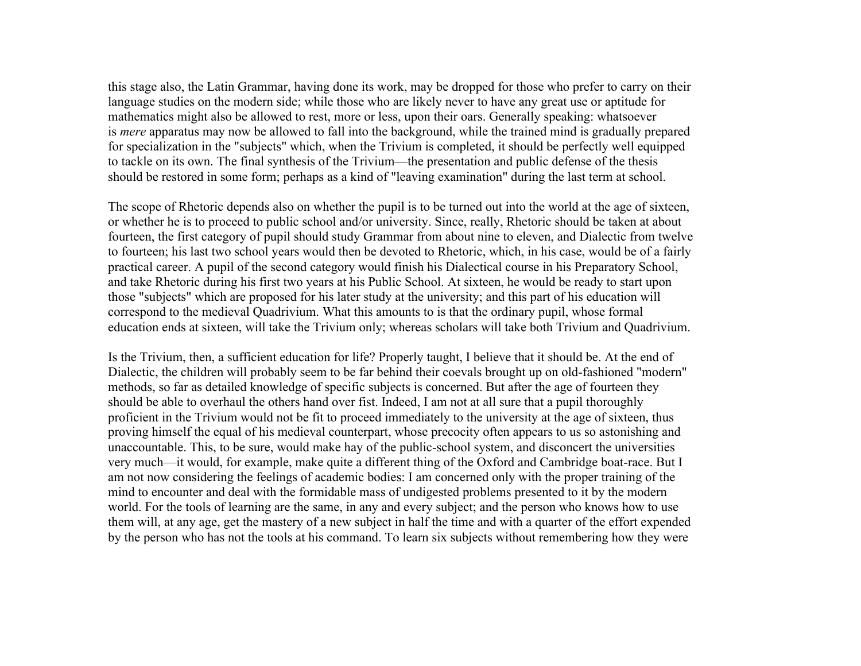this stage also, the Latin Grammar, having done its work, may be dropped for those who prefer to carry on their language studies on the modern side; while those who are likely never to have any great use or aptitude for mathematics might also be allowed to rest, more or less, upon their oars. Generally speaking: whatsoever is *mere* apparatus may now be allowed to fall into the background, while the trained mind is gradually prepared for specialization in the "subjects" which, when the Trivium is completed, it should be perfectly well equipped to tackle on its own. The final synthesis of the Trivium—the presentation and public defense of the thesis should be restored in some form; perhaps as a kind of "leaving examination" during the last term at school.

The scope of Rhetoric depends also on whether the pupil is to be turned out into the world at the age of sixteen, or whether he is to proceed to public school and/or university. Since, really, Rhetoric should be taken at about fourteen, the first category of pupil should study Grammar from about nine to eleven, and Dialectic from twelve to fourteen; his last two school years would then be devoted to Rhetoric, which, in his case, would be of a fairly practical career. A pupil of the second category would finish his Dialectical course in his Preparatory School, and take Rhetoric during his first two years at his Public School. At sixteen, he would be ready to start upon those "subjects" which are proposed for his later study at the university; and this part of his education will correspond to the medieval Quadrivium. What this amounts to is that the ordinary pupil, whose formal education ends at sixteen, will take the Trivium only; whereas scholars will take both Trivium and Quadrivium.

Is the Trivium, then, a sufficient education for life? Properly taught, I believe that it should be. At the end of Dialectic, the children will probably seem to be far behind their coevals brought up on old-fashioned "modern" methods, so far as detailed knowledge of specific subjects is concerned. But after the age of fourteen they should be able to overhaul the others hand over fist. Indeed, I am not at all sure that a pupil thoroughly proficient in the Trivium would not be fit to proceed immediately to the university at the age of sixteen, thus proving himself the equal of his medieval counterpart, whose precocity often appears to us so astonishing and unaccountable. This, to be sure, would make hay of the public-school system, and disconcert the universities very much—it would, for example, make quite a different thing of the Oxford and Cambridge boat-race. But I am not now considering the feelings of academic bodies: I am concerned only with the proper training of the mind to encounter and deal with the formidable mass of undigested problems presented to it by the modern world. For the tools of learning are the same, in any and every subject; and the person who knows how to use them will, at any age, get the mastery of a new subject in half the time and with a quarter of the effort expended by the person who has not the tools at his command. To learn six subjects without remembering how they were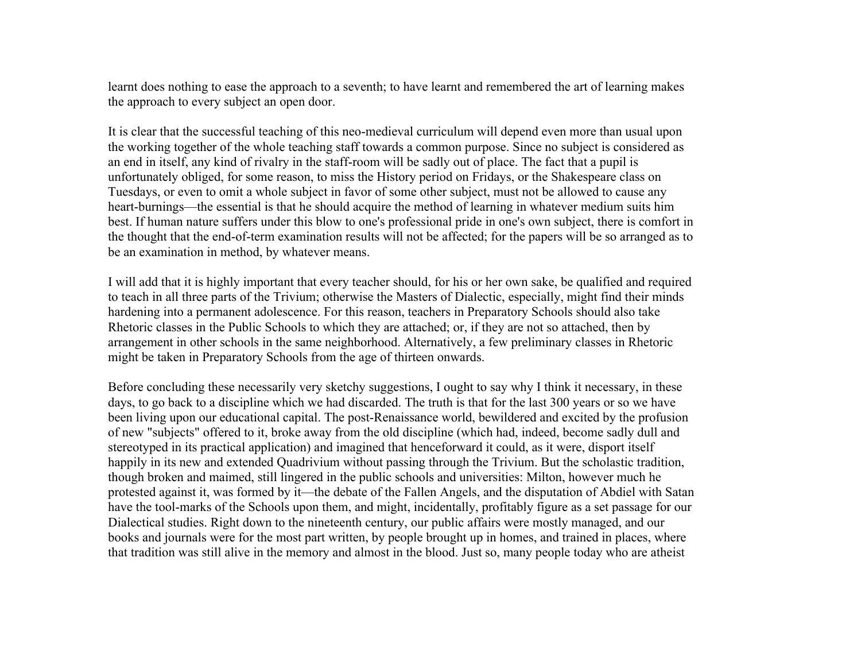learnt does nothing to ease the approach to a seventh; to have learnt and remembered the art of learning makes the approach to every subject an open door.

It is clear that the successful teaching of this neo-medieval curriculum will depend even more than usual upon the working together of the whole teaching staff towards a common purpose. Since no subject is considered as an end in itself, any kind of rivalry in the staff-room will be sadly out of place. The fact that a pupil is unfortunately obliged, for some reason, to miss the History period on Fridays, or the Shakespeare class on Tuesdays, or even to omit a whole subject in favor of some other subject, must not be allowed to cause any heart-burnings—the essential is that he should acquire the method of learning in whatever medium suits him best. If human nature suffers under this blow to one's professional pride in one's own subject, there is comfort in the thought that the end-of-term examination results will not be affected; for the papers will be so arranged as to be an examination in method, by whatever means.

I will add that it is highly important that every teacher should, for his or her own sake, be qualified and required to teach in all three parts of the Trivium; otherwise the Masters of Dialectic, especially, might find their minds hardening into a permanent adolescence. For this reason, teachers in Preparatory Schools should also take Rhetoric classes in the Public Schools to which they are attached; or, if they are not so attached, then by arrangement in other schools in the same neighborhood. Alternatively, a few preliminary classes in Rhetoric might be taken in Preparatory Schools from the age of thirteen onwards.

Before concluding these necessarily very sketchy suggestions, I ought to say why I think it necessary, in these days, to go back to a discipline which we had discarded. The truth is that for the last 300 years or so we have been living upon our educational capital. The post-Renaissance world, bewildered and excited by the profusion of new "subjects" offered to it, broke away from the old discipline (which had, indeed, become sadly dull and stereotyped in its practical application) and imagined that henceforward it could, as it were, disport itself happily in its new and extended Quadrivium without passing through the Trivium. But the scholastic tradition, though broken and maimed, still lingered in the public schools and universities: Milton, however much he protested against it, was formed by it—the debate of the Fallen Angels, and the disputation of Abdiel with Satan have the tool-marks of the Schools upon them, and might, incidentally, profitably figure as a set passage for our Dialectical studies. Right down to the nineteenth century, our public affairs were mostly managed, and our books and journals were for the most part written, by people brought up in homes, and trained in places, where that tradition was still alive in the memory and almost in the blood. Just so, many people today who are atheist